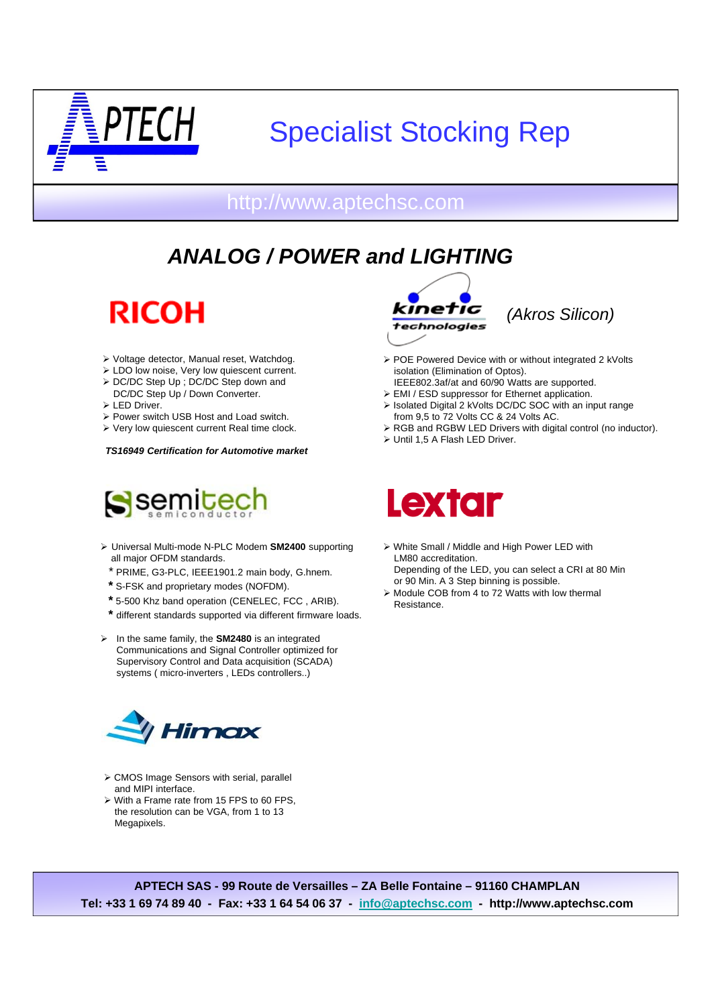

# Specialist Stocking Rep

#### http://www.aptechsc.com

## *ANALOG / POWER and LIGHTING*

**RICOH** 

- Voltage detector, Manual reset, Watchdog.
- LDO low noise, Very low quiescent current.
- > DC/DC Step Up ; DC/DC Step down and DC/DC Step Up / Down Converter.
- > LED Driver.
- Power switch USB Host and Load switch.
- Very low quiescent current Real time clock.

*TS16949 Certification for Automotive market* 



- Universal Multi-mode N-PLC Modem **SM2400** supporting all major OFDM standards.
	- \* PRIME, G3-PLC, IEEE1901.2 main body, G.hnem.
	- **\*** S-FSK and proprietary modes (NOFDM).
	- **\*** 5-500 Khz band operation (CENELEC, FCC , ARIB).
- **\*** different standards supported via different firmware loads.
- In the same family, the **SM2480** is an integrated Communications and Signal Controller optimized for Supervisory Control and Data acquisition (SCADA) systems ( micro-inverters , LEDs controllers..)



- CMOS Image Sensors with serial, parallel and MIPI interface.
- With a Frame rate from 15 FPS to 60 FPS, the resolution can be VGA, from 1 to 13 Megapixels.





- $\triangleright$  POE Powered Device with or without integrated 2 kVolts isolation (Elimination of Optos).
- IEEE802.3af/at and 60/90 Watts are supported. EMI / ESD suppressor for Ethernet application.
- Isolated Digital 2 kVolts DC/DC SOC with an input range from 9,5 to 72 Volts CC & 24 Volts AC.
- RGB and RGBW LED Drivers with digital control (no inductor).
- $\triangleright$  Until 1.5 A Flash LED Driver.



- White Small / Middle and High Power LED with LM80 accreditation. Depending of the LED, you can select a CRI at 80 Min
- or 90 Min. A 3 Step binning is possible. Module COB from 4 to 72 Watts with low thermal Resistance.

**APTECH SAS - 99 Route de Versailles – ZA Belle Fontaine – 91160 CHAMPLAN Tel: +33 1 69 74 89 40 - Fax: +33 1 64 54 06 37 - info@aptechsc.com - http://www.aptechsc.com**